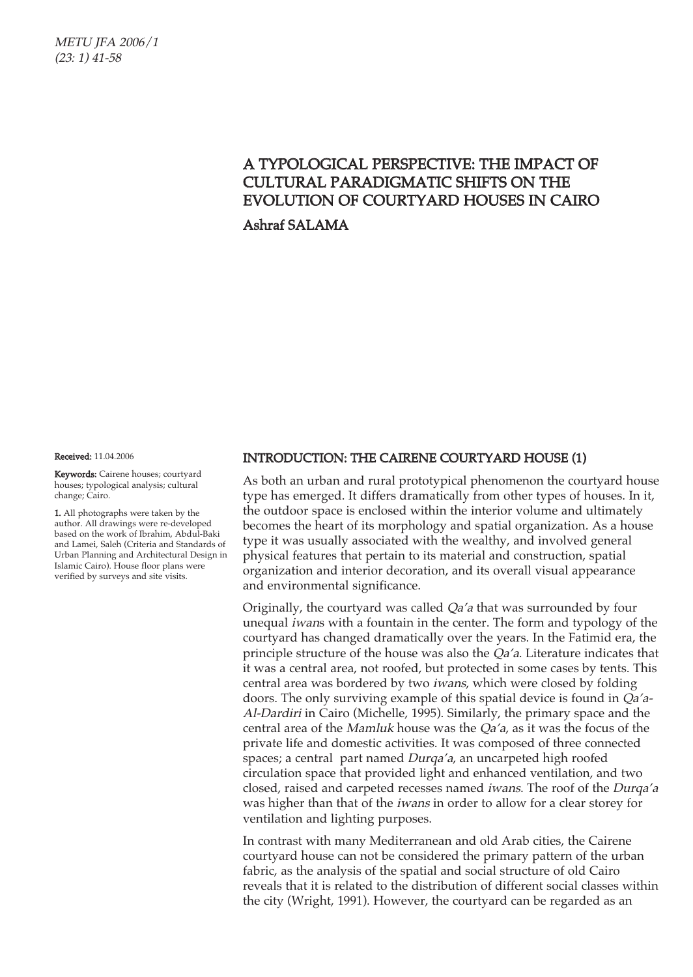METU JFA 2006/1 (23: 1) 41-58

## A TYPOLOGICAL PERSPECTIVE: THE IMPACT OF CULTURAL PARADIGMATIC SHIFTS ON THE EVOLUTION OF COURTYARD HOUSES IN CAIRO

Ashraf SALAMA

Received: 11.04.2006

Keywords: Cairene houses; courtyard houses; typological analysis; cultural change; Cairo.

1. All photographs were taken by the author. All drawings were re-developed based on the work of Ibrahim, Abdul-Baki and Lamei, Saleh (Criteria and Standards of Urban Planning and Architectural Design in Islamic Cairo). House floor plans were verified by surveys and site visits.

#### INTRODUCTION: THE CAIRENE COURTYARD HOUSE (1)

As both an urban and rural prototypical phenomenon the courtyard house type has emerged. It differs dramatically from other types of houses. In it, the outdoor space is enclosed within the interior volume and ultimately becomes the heart of its morphology and spatial organization. As a house type it was usually associated with the wealthy, and involved general physical features that pertain to its material and construction, spatial organization and interior decoration, and its overall visual appearance and environmental significance.

Originally, the courtyard was called Qa'a that was surrounded by four unequal iwans with a fountain in the center. The form and typology of the courtyard has changed dramatically over the years. In the Fatimid era, the principle structure of the house was also the *Qa'a*. Literature indicates that it was a central area, not roofed, but protected in some cases by tents. This central area was bordered by two iwans, which were closed by folding doors. The only surviving example of this spatial device is found in Qa'a-Al-Dardiri in Cairo (Michelle, 1995). Similarly, the primary space and the central area of the Mamluk house was the Qa'a, as it was the focus of the private life and domestic activities. It was composed of three connected spaces; a central part named Durqa'a, an uncarpeted high roofed circulation space that provided light and enhanced ventilation, and two closed, raised and carpeted recesses named iwans. The roof of the Durqa'a was higher than that of the *iwans* in order to allow for a clear storey for ventilation and lighting purposes.

In contrast with many Mediterranean and old Arab cities, the Cairene courtyard house can not be considered the primary pattern of the urban fabric, as the analysis of the spatial and social structure of old Cairo reveals that it is related to the distribution of different social classes within the city (Wright, 1991). However, the courtyard can be regarded as an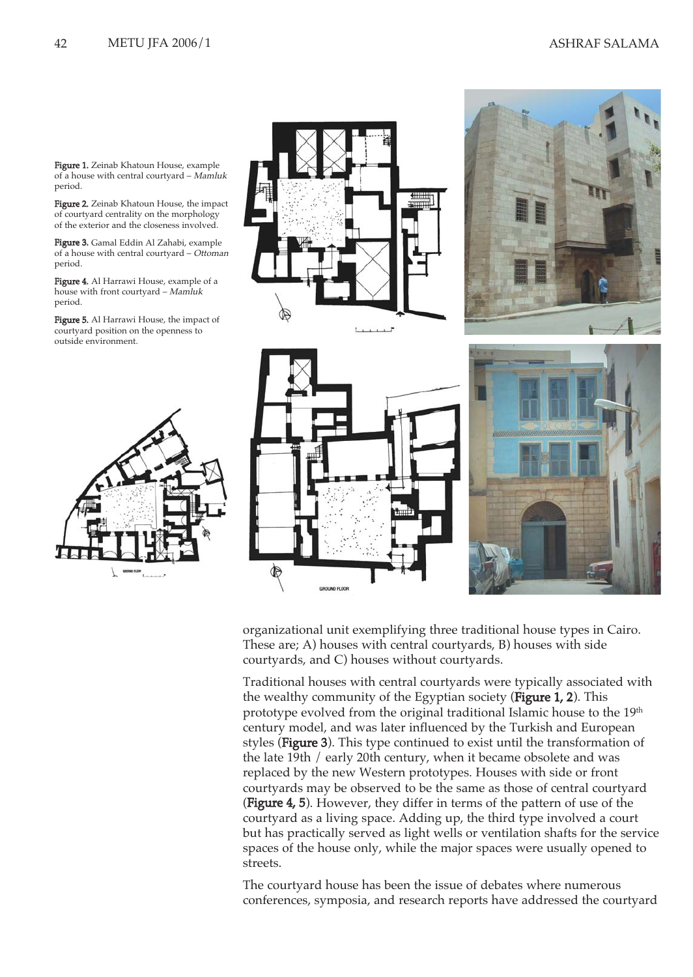Figure 1. Zeinab Khatoun House, example of a house with central courtyard – Mamluk period.

Figure 2. Zeinab Khatoun House, the impact of courtyard centrality on the morphology of the exterior and the closeness involved.

Figure 3. Gamal Eddin Al Zahabi, example of a house with central courtyard – Ottoman period.

Figure 4. Al Harrawi House, example of a house with front courtyard – Mamluk period.

Figure 5. Al Harrawi House, the impact of courtyard position on the openness to outside environment.





organizational unit exemplifying three traditional house types in Cairo. These are; A) houses with central courtyards, B) houses with side courtyards, and C) houses without courtyards.

Traditional houses with central courtyards were typically associated with the wealthy community of the Egyptian society (Figure 1, 2). This prototype evolved from the original traditional Islamic house to the 19<sup>th</sup> century model, and was later influenced by the Turkish and European styles (Figure 3). This type continued to exist until the transformation of the late 19th / early 20th century, when it became obsolete and was replaced by the new Western prototypes. Houses with side or front courtyards may be observed to be the same as those of central courtyard (Figure 4, 5). However, they differ in terms of the pattern of use of the courtyard as a living space. Adding up, the third type involved a court but has practically served as light wells or ventilation shafts for the service spaces of the house only, while the major spaces were usually opened to streets.

The courtyard house has been the issue of debates where numerous conferences, symposia, and research reports have addressed the courtyard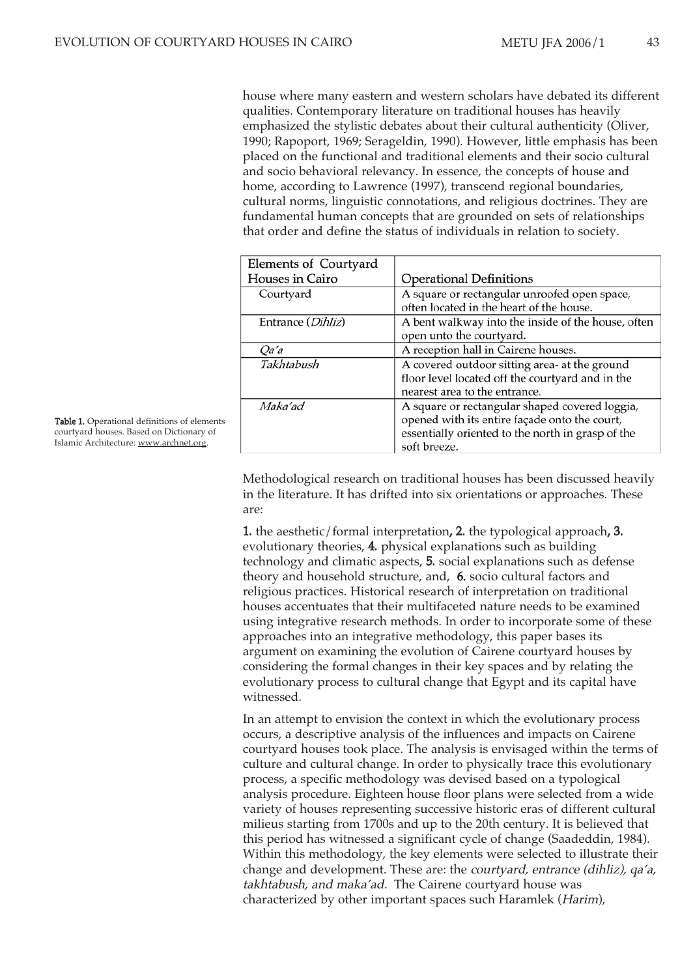house where many eastern and western scholars have debated its different qualities. Contemporary literature on traditional houses has heavily emphasized the stylistic debates about their cultural authenticity (Oliver, 1990; Rapoport, 1969; Serageldin, 1990). However, little emphasis has been placed on the functional and traditional elements and their socio cultural and socio behavioral relevancy. In essence, the concepts of house and home, according to Lawrence (1997), transcend regional boundaries, cultural norms, linguistic connotations, and religious doctrines. They are fundamental human concepts that are grounded on sets of relationships that order and define the status of individuals in relation to society.

| Elements of Courtyard      |                                                                                                                                                                      |
|----------------------------|----------------------------------------------------------------------------------------------------------------------------------------------------------------------|
| Houses in Cairo            | <b>Operational Definitions</b>                                                                                                                                       |
| Courtyard                  | A square or rectangular unroofed open space,<br>often located in the heart of the house.                                                                             |
| Entrance ( <i>Dihliz</i> ) | A bent walkway into the inside of the house, often<br>open unto the courtyard.                                                                                       |
| <i>Oa'a</i>                | A reception hall in Cairene houses.                                                                                                                                  |
| Takhtabush                 | A covered outdoor sitting area- at the ground<br>floor level located off the courtyard and in the<br>nearest area to the entrance.                                   |
| Maka'ad                    | A square or rectangular shaped covered loggia,<br>opened with its entire façade onto the court,<br>essentially oriented to the north in grasp of the<br>soft breeze. |

Methodological research on traditional houses has been discussed heavily in the literature. It has drifted into six orientations or approaches. These are:

1. the aesthetic/formal interpretation, 2. the typological approach, 3. evolutionary theories, 4. physical explanations such as building technology and climatic aspects, 5. social explanations such as defense theory and household structure, and, 6. socio cultural factors and religious practices. Historical research of interpretation on traditional houses accentuates that their multifaceted nature needs to be examined using integrative research methods. In order to incorporate some of these approaches into an integrative methodology, this paper bases its argument on examining the evolution of Cairene courtyard houses by considering the formal changes in their key spaces and by relating the evolutionary process to cultural change that Egypt and its capital have witnessed.

In an attempt to envision the context in which the evolutionary process occurs, a descriptive analysis of the influences and impacts on Cairene courtyard houses took place. The analysis is envisaged within the terms of culture and cultural change. In order to physically trace this evolutionary process, a specific methodology was devised based on a typological analysis procedure. Eighteen house floor plans were selected from a wide variety of houses representing successive historic eras of different cultural milieus starting from 1700s and up to the 20th century. It is believed that this period has witnessed a significant cycle of change (Saadeddin, 1984). Within this methodology, the key elements were selected to illustrate their change and development. These are: the courtyard, entrance (dihliz), qa'a, takhtabush, and maka'ad. The Cairene courtyard house was characterized by other important spaces such Haramlek (Harim),

Table 1. Operational definitions of elements courtyard houses. Based on Dictionary of Islamic Architecture: www.archnet.org.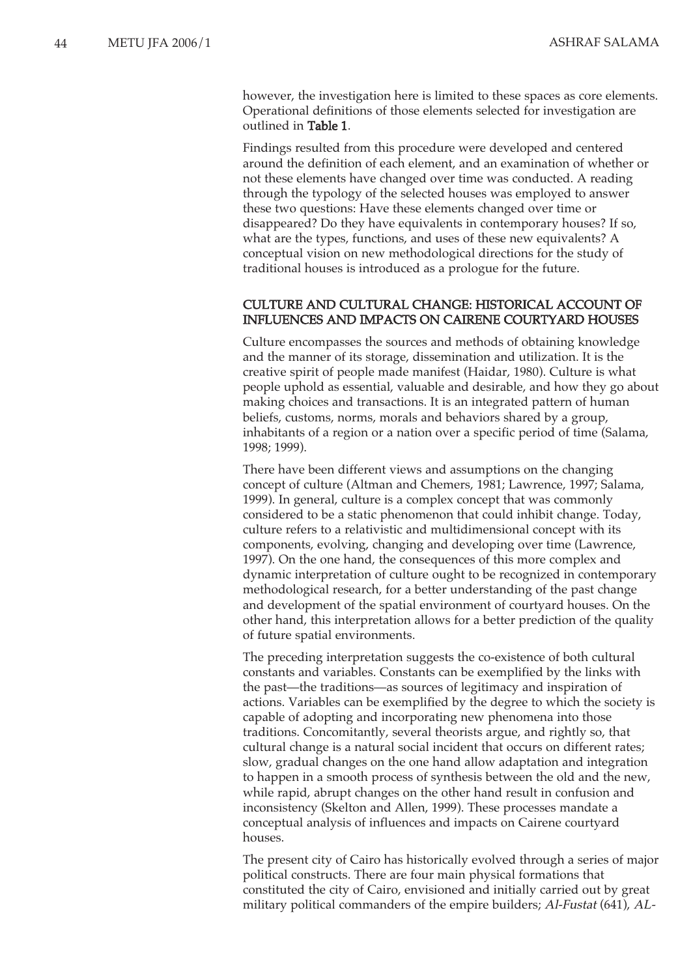however, the investigation here is limited to these spaces as core elements. Operational definitions of those elements selected for investigation are outlined in Table 1.

Findings resulted from this procedure were developed and centered around the definition of each element, and an examination of whether or not these elements have changed over time was conducted. A reading through the typology of the selected houses was employed to answer these two questions: Have these elements changed over time or disappeared? Do they have equivalents in contemporary houses? If so, what are the types, functions, and uses of these new equivalents? A conceptual vision on new methodological directions for the study of traditional houses is introduced as a prologue for the future.

#### CULTURE AND CULTURAL CHANGE: HISTORICAL ACCOUNT OF INFLUENCES AND IMPACTS ON CAIRENE COURTYARD HOUSES

Culture encompasses the sources and methods of obtaining knowledge and the manner of its storage, dissemination and utilization. It is the creative spirit of people made manifest (Haidar, 1980). Culture is what people uphold as essential, valuable and desirable, and how they go about making choices and transactions. It is an integrated pattern of human beliefs, customs, norms, morals and behaviors shared by a group, inhabitants of a region or a nation over a specific period of time (Salama, 1998; 1999).

There have been different views and assumptions on the changing concept of culture (Altman and Chemers, 1981; Lawrence, 1997; Salama, 1999). In general, culture is a complex concept that was commonly considered to be a static phenomenon that could inhibit change. Today, culture refers to a relativistic and multidimensional concept with its components, evolving, changing and developing over time (Lawrence, 1997). On the one hand, the consequences of this more complex and dynamic interpretation of culture ought to be recognized in contemporary methodological research, for a better understanding of the past change and development of the spatial environment of courtyard houses. On the other hand, this interpretation allows for a better prediction of the quality of future spatial environments.

The preceding interpretation suggests the co-existence of both cultural constants and variables. Constants can be exemplified by the links with the past—the traditions—as sources of legitimacy and inspiration of actions. Variables can be exemplified by the degree to which the society is capable of adopting and incorporating new phenomena into those traditions. Concomitantly, several theorists argue, and rightly so, that cultural change is a natural social incident that occurs on different rates; slow, gradual changes on the one hand allow adaptation and integration to happen in a smooth process of synthesis between the old and the new, while rapid, abrupt changes on the other hand result in confusion and inconsistency (Skelton and Allen, 1999). These processes mandate a conceptual analysis of influences and impacts on Cairene courtyard houses.

The present city of Cairo has historically evolved through a series of major political constructs. There are four main physical formations that constituted the city of Cairo, envisioned and initially carried out by great military political commanders of the empire builders; Al-Fustat (641), AL-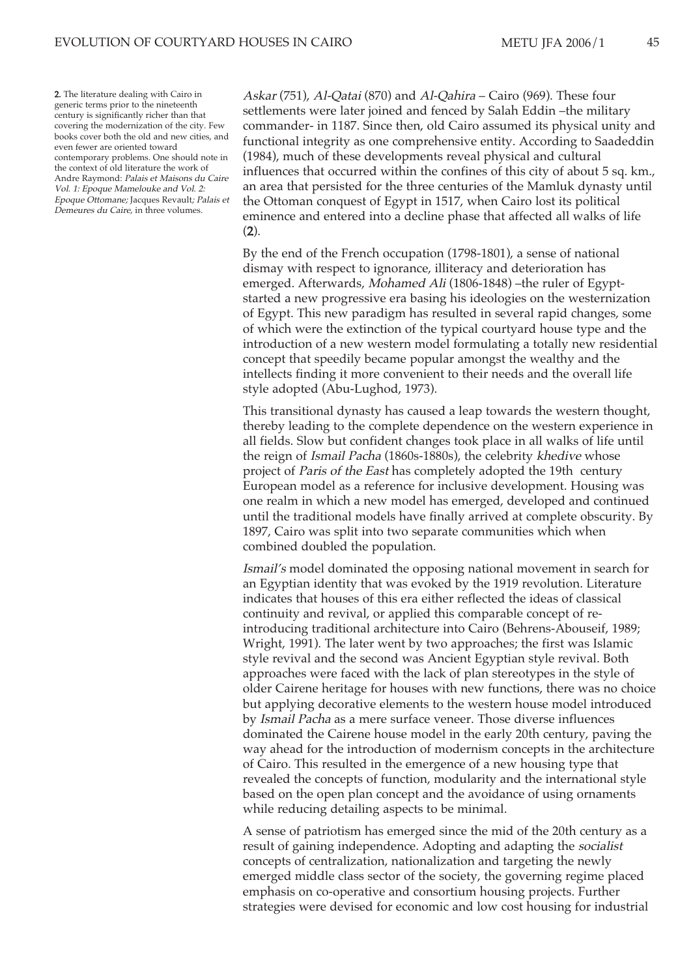2. The literature dealing with Cairo in generic terms prior to the nineteenth century is significantly richer than that covering the modernization of the city. Few books cover both the old and new cities, and even fewer are oriented toward contemporary problems. One should note in the context of old literature the work of Andre Raymond: Palais et Maisons du Caire Vol. 1: Epoque Mamelouke and Vol. 2: Epoque Ottomane; Jacques Revault; Palais et Demeures du Caire, in three volumes.

Askar (751), Al-Qatai (870) and Al-Qahira – Cairo (969). These four settlements were later joined and fenced by Salah Eddin –the military commander- in 1187. Since then, old Cairo assumed its physical unity and functional integrity as one comprehensive entity. According to Saadeddin (1984), much of these developments reveal physical and cultural influences that occurred within the confines of this city of about 5 sq. km., an area that persisted for the three centuries of the Mamluk dynasty until the Ottoman conquest of Egypt in 1517, when Cairo lost its political eminence and entered into a decline phase that affected all walks of life  $(2).$ 

By the end of the French occupation (1798-1801), a sense of national dismay with respect to ignorance, illiteracy and deterioration has emerged. Afterwards, Mohamed Ali (1806-1848) –the ruler of Egyptstarted a new progressive era basing his ideologies on the westernization of Egypt. This new paradigm has resulted in several rapid changes, some of which were the extinction of the typical courtyard house type and the introduction of a new western model formulating a totally new residential concept that speedily became popular amongst the wealthy and the intellects finding it more convenient to their needs and the overall life style adopted (Abu-Lughod, 1973).

This transitional dynasty has caused a leap towards the western thought, thereby leading to the complete dependence on the western experience in all fields. Slow but confident changes took place in all walks of life until the reign of Ismail Pacha (1860s-1880s), the celebrity khedive whose project of *Paris of the East* has completely adopted the 19th century European model as a reference for inclusive development. Housing was one realm in which a new model has emerged, developed and continued until the traditional models have finally arrived at complete obscurity. By 1897, Cairo was split into two separate communities which when combined doubled the population.

Ismail's model dominated the opposing national movement in search for an Egyptian identity that was evoked by the 1919 revolution. Literature indicates that houses of this era either reflected the ideas of classical continuity and revival, or applied this comparable concept of reintroducing traditional architecture into Cairo (Behrens-Abouseif, 1989; Wright, 1991). The later went by two approaches; the first was Islamic style revival and the second was Ancient Egyptian style revival. Both approaches were faced with the lack of plan stereotypes in the style of older Cairene heritage for houses with new functions, there was no choice but applying decorative elements to the western house model introduced by Ismail Pacha as a mere surface veneer. Those diverse influences dominated the Cairene house model in the early 20th century, paving the way ahead for the introduction of modernism concepts in the architecture of Cairo. This resulted in the emergence of a new housing type that revealed the concepts of function, modularity and the international style based on the open plan concept and the avoidance of using ornaments while reducing detailing aspects to be minimal.

A sense of patriotism has emerged since the mid of the 20th century as a result of gaining independence. Adopting and adapting the socialist concepts of centralization, nationalization and targeting the newly emerged middle class sector of the society, the governing regime placed emphasis on co-operative and consortium housing projects. Further strategies were devised for economic and low cost housing for industrial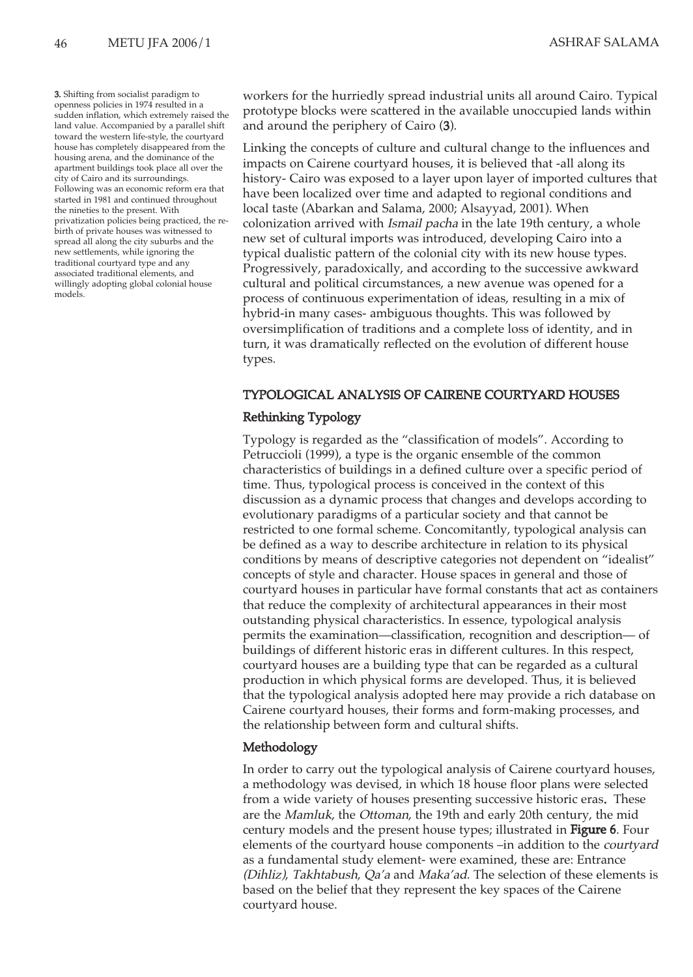3. Shifting from socialist paradigm to openness policies in 1974 resulted in a sudden inflation, which extremely raised the land value. Accompanied by a parallel shift toward the western life-style, the courtyard house has completely disappeared from the housing arena, and the dominance of the apartment buildings took place all over the city of Cairo and its surroundings. Following was an economic reform era that started in 1981 and continued throughout the nineties to the present. With privatization policies being practiced, the rebirth of private houses was witnessed to spread all along the city suburbs and the new settlements, while ignoring the traditional courtyard type and any associated traditional elements, and willingly adopting global colonial house models.

workers for the hurriedly spread industrial units all around Cairo. Typical prototype blocks were scattered in the available unoccupied lands within and around the periphery of Cairo (3).

Linking the concepts of culture and cultural change to the influences and impacts on Cairene courtyard houses, it is believed that -all along its history- Cairo was exposed to a layer upon layer of imported cultures that have been localized over time and adapted to regional conditions and local taste (Abarkan and Salama, 2000; Alsayyad, 2001). When colonization arrived with Ismail pacha in the late 19th century, a whole new set of cultural imports was introduced, developing Cairo into a typical dualistic pattern of the colonial city with its new house types. Progressively, paradoxically, and according to the successive awkward cultural and political circumstances, a new avenue was opened for a process of continuous experimentation of ideas, resulting in a mix of hybrid-in many cases- ambiguous thoughts. This was followed by oversimplification of traditions and a complete loss of identity, and in turn, it was dramatically reflected on the evolution of different house types.

### TYPOLOGICAL ANALYSIS OF CAIRENE COURTYARD HOUSES

#### Rethinking Typology

Typology is regarded as the "classification of models". According to Petruccioli (1999), a type is the organic ensemble of the common characteristics of buildings in a defined culture over a specific period of time. Thus, typological process is conceived in the context of this discussion as a dynamic process that changes and develops according to evolutionary paradigms of a particular society and that cannot be restricted to one formal scheme. Concomitantly, typological analysis can be defined as a way to describe architecture in relation to its physical conditions by means of descriptive categories not dependent on "idealist" concepts of style and character. House spaces in general and those of courtyard houses in particular have formal constants that act as containers that reduce the complexity of architectural appearances in their most outstanding physical characteristics. In essence, typological analysis permits the examination—classification, recognition and description— of buildings of different historic eras in different cultures. In this respect, courtyard houses are a building type that can be regarded as a cultural production in which physical forms are developed. Thus, it is believed that the typological analysis adopted here may provide a rich database on Cairene courtyard houses, their forms and form-making processes, and the relationship between form and cultural shifts.

#### Methodology

In order to carry out the typological analysis of Cairene courtyard houses, a methodology was devised, in which 18 house floor plans were selected from a wide variety of houses presenting successive historic eras. These are the Mamluk, the Ottoman, the 19th and early 20th century, the mid century models and the present house types; illustrated in Figure 6. Four elements of the courtyard house components –in addition to the courtyard as a fundamental study element- were examined, these are: Entrance (Dihliz), Takhtabush, Qa'a and Maka'ad. The selection of these elements is based on the belief that they represent the key spaces of the Cairene courtyard house.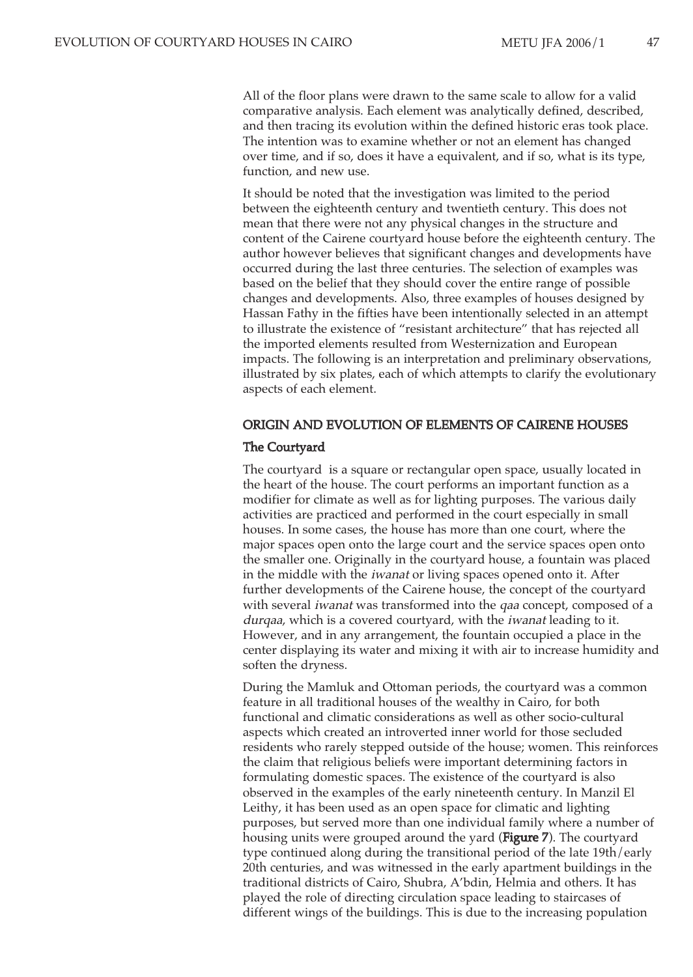All of the floor plans were drawn to the same scale to allow for a valid comparative analysis. Each element was analytically defined, described, and then tracing its evolution within the defined historic eras took place. The intention was to examine whether or not an element has changed over time, and if so, does it have a equivalent, and if so, what is its type, function, and new use.

It should be noted that the investigation was limited to the period between the eighteenth century and twentieth century. This does not mean that there were not any physical changes in the structure and content of the Cairene courtyard house before the eighteenth century. The author however believes that significant changes and developments have occurred during the last three centuries. The selection of examples was based on the belief that they should cover the entire range of possible changes and developments. Also, three examples of houses designed by Hassan Fathy in the fifties have been intentionally selected in an attempt to illustrate the existence of "resistant architecture" that has rejected all the imported elements resulted from Westernization and European impacts. The following is an interpretation and preliminary observations, illustrated by six plates, each of which attempts to clarify the evolutionary aspects of each element.

# ORIGIN AND EVOLUTION OF ELEMENTS OF CAIRENE HOUSES

#### The Courtyard

The courtyard is a square or rectangular open space, usually located in the heart of the house. The court performs an important function as a modifier for climate as well as for lighting purposes. The various daily activities are practiced and performed in the court especially in small houses. In some cases, the house has more than one court, where the major spaces open onto the large court and the service spaces open onto the smaller one. Originally in the courtyard house, a fountain was placed in the middle with the iwanat or living spaces opened onto it. After further developments of the Cairene house, the concept of the courtyard with several *iwanat* was transformed into the *qaa* concept, composed of a durqaa, which is a covered courtyard, with the iwanat leading to it. However, and in any arrangement, the fountain occupied a place in the center displaying its water and mixing it with air to increase humidity and soften the dryness.

During the Mamluk and Ottoman periods, the courtyard was a common feature in all traditional houses of the wealthy in Cairo, for both functional and climatic considerations as well as other socio-cultural aspects which created an introverted inner world for those secluded residents who rarely stepped outside of the house; women. This reinforces the claim that religious beliefs were important determining factors in formulating domestic spaces. The existence of the courtyard is also observed in the examples of the early nineteenth century. In Manzil El Leithy, it has been used as an open space for climatic and lighting purposes, but served more than one individual family where a number of housing units were grouped around the yard (Figure 7). The courtyard type continued along during the transitional period of the late 19th/early 20th centuries, and was witnessed in the early apartment buildings in the traditional districts of Cairo, Shubra, A'bdin, Helmia and others. It has played the role of directing circulation space leading to staircases of different wings of the buildings. This is due to the increasing population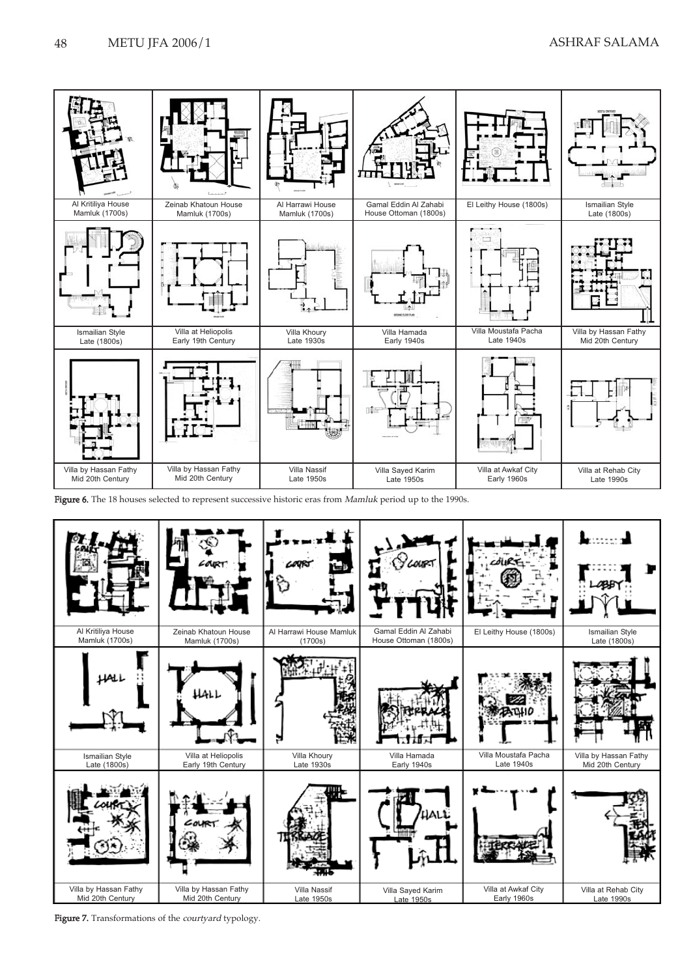

Figure 6. The 18 houses selected to represent successive historic eras from Mamluk period up to the 1990s.



Figure 7. Transformations of the *courtyard* typology.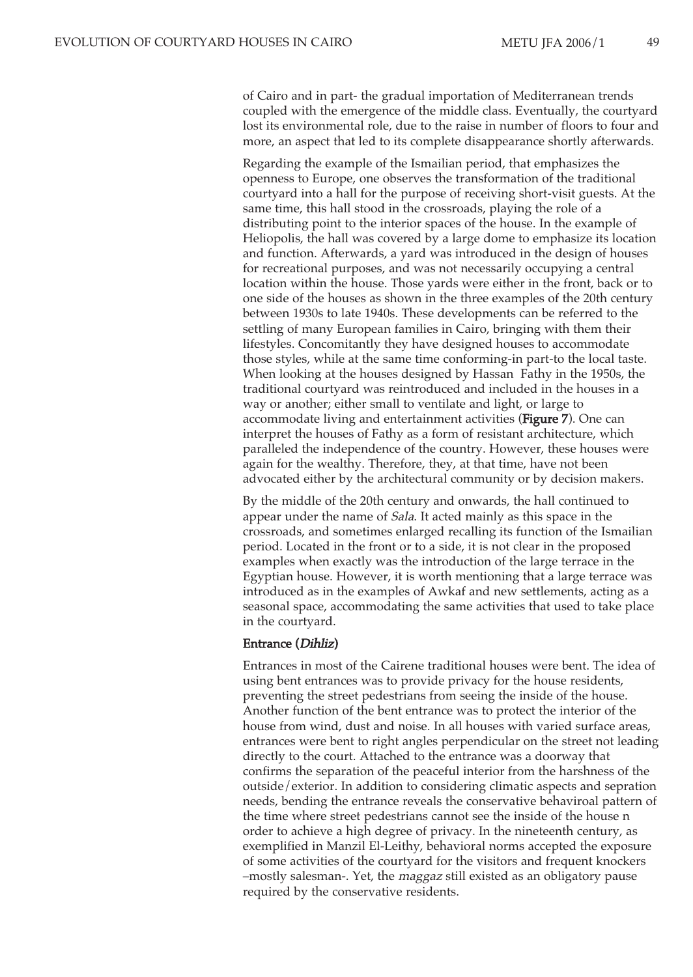of Cairo and in part- the gradual importation of Mediterranean trends coupled with the emergence of the middle class. Eventually, the courtyard lost its environmental role, due to the raise in number of floors to four and more, an aspect that led to its complete disappearance shortly afterwards.

Regarding the example of the Ismailian period, that emphasizes the openness to Europe, one observes the transformation of the traditional courtyard into a hall for the purpose of receiving short-visit guests. At the same time, this hall stood in the crossroads, playing the role of a distributing point to the interior spaces of the house. In the example of Heliopolis, the hall was covered by a large dome to emphasize its location and function. Afterwards, a yard was introduced in the design of houses for recreational purposes, and was not necessarily occupying a central location within the house. Those yards were either in the front, back or to one side of the houses as shown in the three examples of the 20th century between 1930s to late 1940s. These developments can be referred to the settling of many European families in Cairo, bringing with them their lifestyles. Concomitantly they have designed houses to accommodate those styles, while at the same time conforming-in part-to the local taste. When looking at the houses designed by Hassan Fathy in the 1950s, the traditional courtyard was reintroduced and included in the houses in a way or another; either small to ventilate and light, or large to accommodate living and entertainment activities (Figure 7). One can interpret the houses of Fathy as a form of resistant architecture, which paralleled the independence of the country. However, these houses were again for the wealthy. Therefore, they, at that time, have not been advocated either by the architectural community or by decision makers.

By the middle of the 20th century and onwards, the hall continued to appear under the name of Sala. It acted mainly as this space in the crossroads, and sometimes enlarged recalling its function of the Ismailian period. Located in the front or to a side, it is not clear in the proposed examples when exactly was the introduction of the large terrace in the Egyptian house. However, it is worth mentioning that a large terrace was introduced as in the examples of Awkaf and new settlements, acting as a seasonal space, accommodating the same activities that used to take place in the courtyard.

#### Entrance (Dihliz)

Entrances in most of the Cairene traditional houses were bent. The idea of using bent entrances was to provide privacy for the house residents, preventing the street pedestrians from seeing the inside of the house. Another function of the bent entrance was to protect the interior of the house from wind, dust and noise. In all houses with varied surface areas, entrances were bent to right angles perpendicular on the street not leading directly to the court. Attached to the entrance was a doorway that confirms the separation of the peaceful interior from the harshness of the outside/exterior. In addition to considering climatic aspects and sepration needs, bending the entrance reveals the conservative behaviroal pattern of the time where street pedestrians cannot see the inside of the house n order to achieve a high degree of privacy. In the nineteenth century, as exemplified in Manzil El-Leithy, behavioral norms accepted the exposure of some activities of the courtyard for the visitors and frequent knockers –mostly salesman-. Yet, the maggaz still existed as an obligatory pause required by the conservative residents.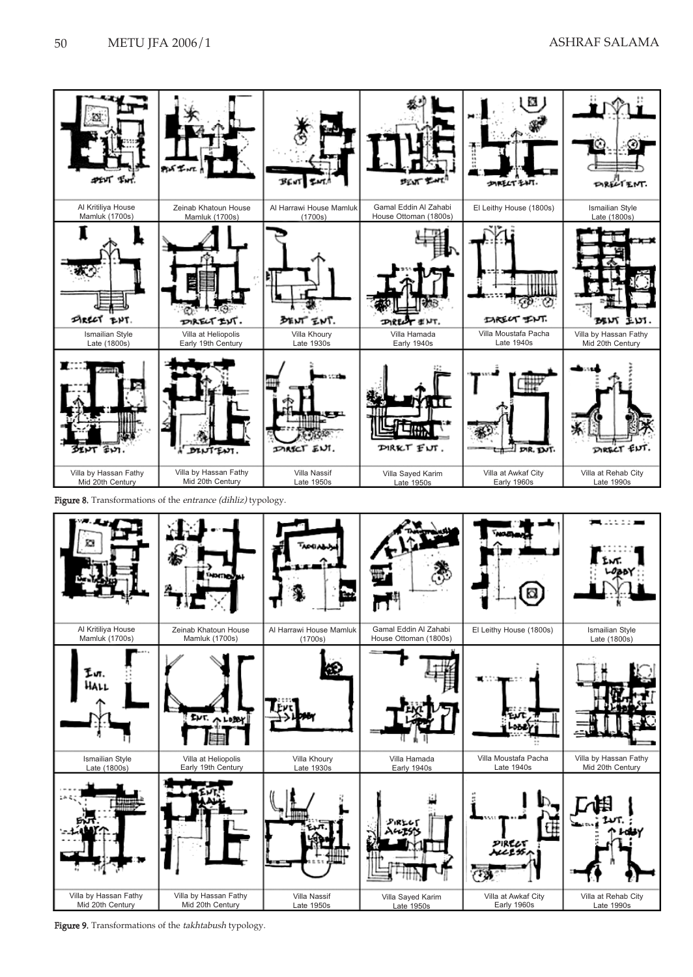

Figure 8. Transformations of the entrance (dihliz) typology.



Figure 9. Transformations of the takhtabush typology.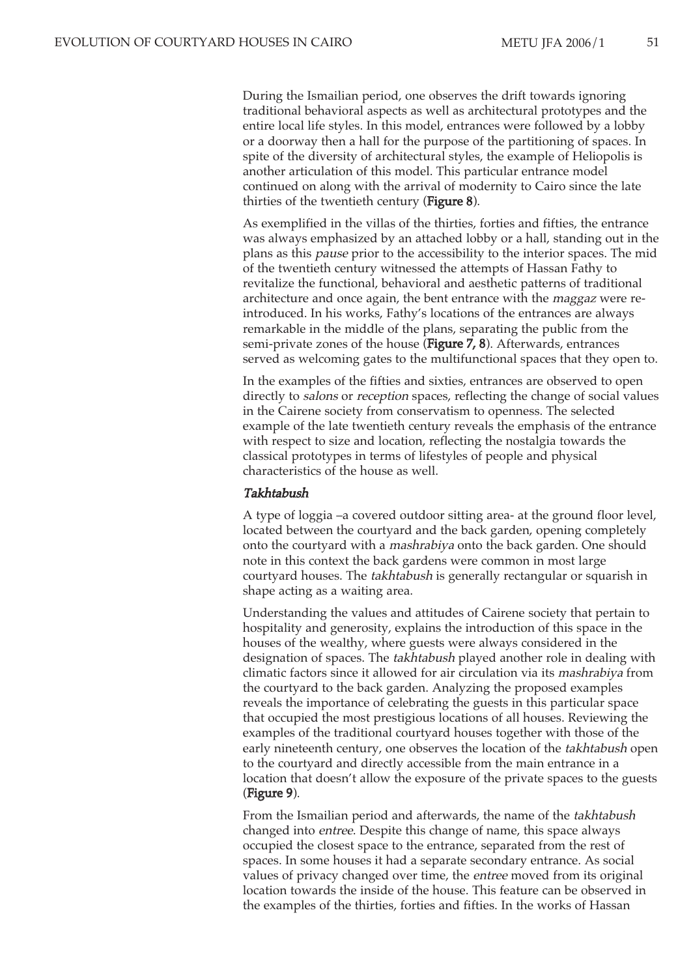During the Ismailian period, one observes the drift towards ignoring traditional behavioral aspects as well as architectural prototypes and the entire local life styles. In this model, entrances were followed by a lobby or a doorway then a hall for the purpose of the partitioning of spaces. In spite of the diversity of architectural styles, the example of Heliopolis is another articulation of this model. This particular entrance model continued on along with the arrival of modernity to Cairo since the late thirties of the twentieth century (Figure 8).

As exemplified in the villas of the thirties, forties and fifties, the entrance was always emphasized by an attached lobby or a hall, standing out in the plans as this pause prior to the accessibility to the interior spaces. The mid of the twentieth century witnessed the attempts of Hassan Fathy to revitalize the functional, behavioral and aesthetic patterns of traditional architecture and once again, the bent entrance with the maggaz were reintroduced. In his works, Fathy's locations of the entrances are always remarkable in the middle of the plans, separating the public from the semi-private zones of the house (Figure 7, 8). Afterwards, entrances served as welcoming gates to the multifunctional spaces that they open to.

In the examples of the fifties and sixties, entrances are observed to open directly to salons or reception spaces, reflecting the change of social values in the Cairene society from conservatism to openness. The selected example of the late twentieth century reveals the emphasis of the entrance with respect to size and location, reflecting the nostalgia towards the classical prototypes in terms of lifestyles of people and physical characteristics of the house as well.

#### Takhtabush

A type of loggia –a covered outdoor sitting area- at the ground floor level, located between the courtyard and the back garden, opening completely onto the courtyard with a mashrabiya onto the back garden. One should note in this context the back gardens were common in most large courtyard houses. The takhtabush is generally rectangular or squarish in shape acting as a waiting area.

Understanding the values and attitudes of Cairene society that pertain to hospitality and generosity, explains the introduction of this space in the houses of the wealthy, where guests were always considered in the designation of spaces. The takhtabush played another role in dealing with climatic factors since it allowed for air circulation via its mashrabiya from the courtyard to the back garden. Analyzing the proposed examples reveals the importance of celebrating the guests in this particular space that occupied the most prestigious locations of all houses. Reviewing the examples of the traditional courtyard houses together with those of the early nineteenth century, one observes the location of the *takhtabush* open to the courtyard and directly accessible from the main entrance in a location that doesn't allow the exposure of the private spaces to the guests (Figure 9).

From the Ismailian period and afterwards, the name of the takhtabush changed into entree. Despite this change of name, this space always occupied the closest space to the entrance, separated from the rest of spaces. In some houses it had a separate secondary entrance. As social values of privacy changed over time, the entree moved from its original location towards the inside of the house. This feature can be observed in the examples of the thirties, forties and fifties. In the works of Hassan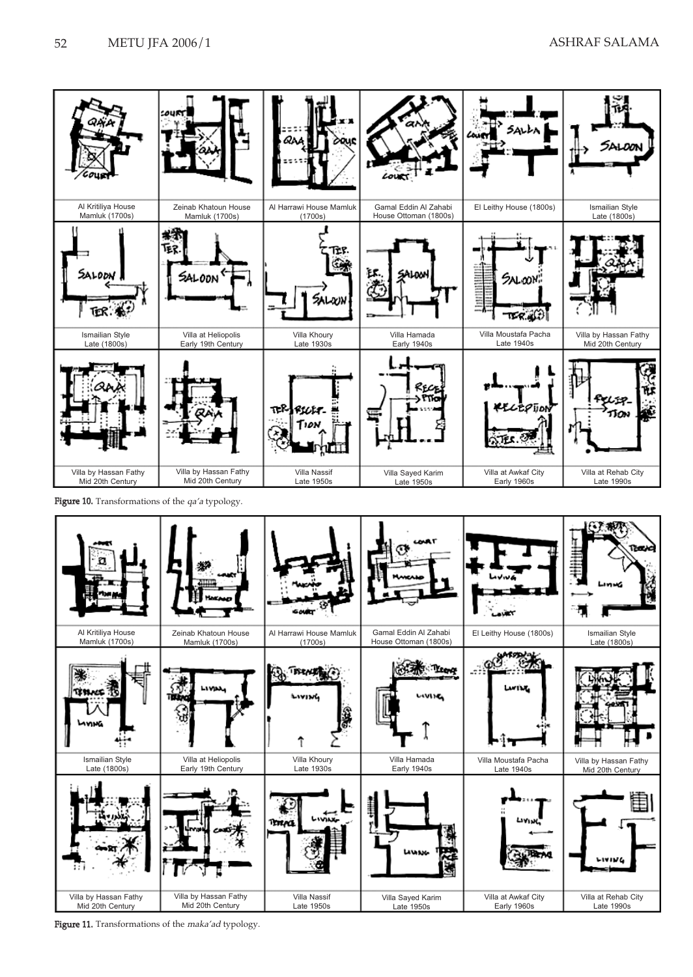



Figure 11. Transformations of the maka'ad typology.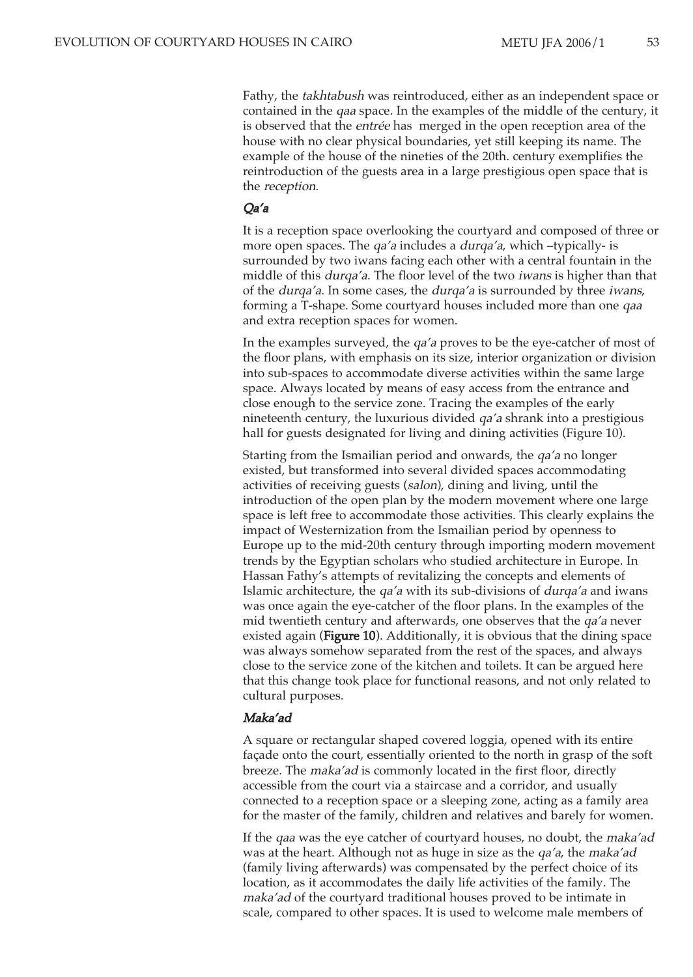Fathy, the takhtabush was reintroduced, either as an independent space or contained in the qaa space. In the examples of the middle of the century, it is observed that the entrée has merged in the open reception area of the house with no clear physical boundaries, yet still keeping its name. The example of the house of the nineties of the 20th. century exemplifies the reintroduction of the guests area in a large prestigious open space that is the reception.

#### Qa'a

It is a reception space overlooking the courtyard and composed of three or more open spaces. The *qa'a* includes a *durqa'a*, which -typically- is surrounded by two iwans facing each other with a central fountain in the middle of this durqa'a. The floor level of the two iwans is higher than that of the durqa'a. In some cases, the durqa'a is surrounded by three iwans, forming a T-shape. Some courtyard houses included more than one qaa and extra reception spaces for women.

In the examples surveyed, the qa'a proves to be the eye-catcher of most of the floor plans, with emphasis on its size, interior organization or division into sub-spaces to accommodate diverse activities within the same large space. Always located by means of easy access from the entrance and close enough to the service zone. Tracing the examples of the early nineteenth century, the luxurious divided qa'a shrank into a prestigious hall for guests designated for living and dining activities (Figure 10).

Starting from the Ismailian period and onwards, the qa'a no longer existed, but transformed into several divided spaces accommodating activities of receiving guests (salon), dining and living, until the introduction of the open plan by the modern movement where one large space is left free to accommodate those activities. This clearly explains the impact of Westernization from the Ismailian period by openness to Europe up to the mid-20th century through importing modern movement trends by the Egyptian scholars who studied architecture in Europe. In Hassan Fathy's attempts of revitalizing the concepts and elements of Islamic architecture, the qa'a with its sub-divisions of durqa'a and iwans was once again the eye-catcher of the floor plans. In the examples of the mid twentieth century and afterwards, one observes that the qa'a never existed again (Figure 10). Additionally, it is obvious that the dining space was always somehow separated from the rest of the spaces, and always close to the service zone of the kitchen and toilets. It can be argued here that this change took place for functional reasons, and not only related to cultural purposes.

#### Maka'ad

A square or rectangular shaped covered loggia, opened with its entire façade onto the court, essentially oriented to the north in grasp of the soft breeze. The maka'ad is commonly located in the first floor, directly accessible from the court via a staircase and a corridor, and usually connected to a reception space or a sleeping zone, acting as a family area for the master of the family, children and relatives and barely for women.

If the qaa was the eye catcher of courtyard houses, no doubt, the maka'ad was at the heart. Although not as huge in size as the *qa'a*, the *maka'ad* (family living afterwards) was compensated by the perfect choice of its location, as it accommodates the daily life activities of the family. The maka'ad of the courtyard traditional houses proved to be intimate in scale, compared to other spaces. It is used to welcome male members of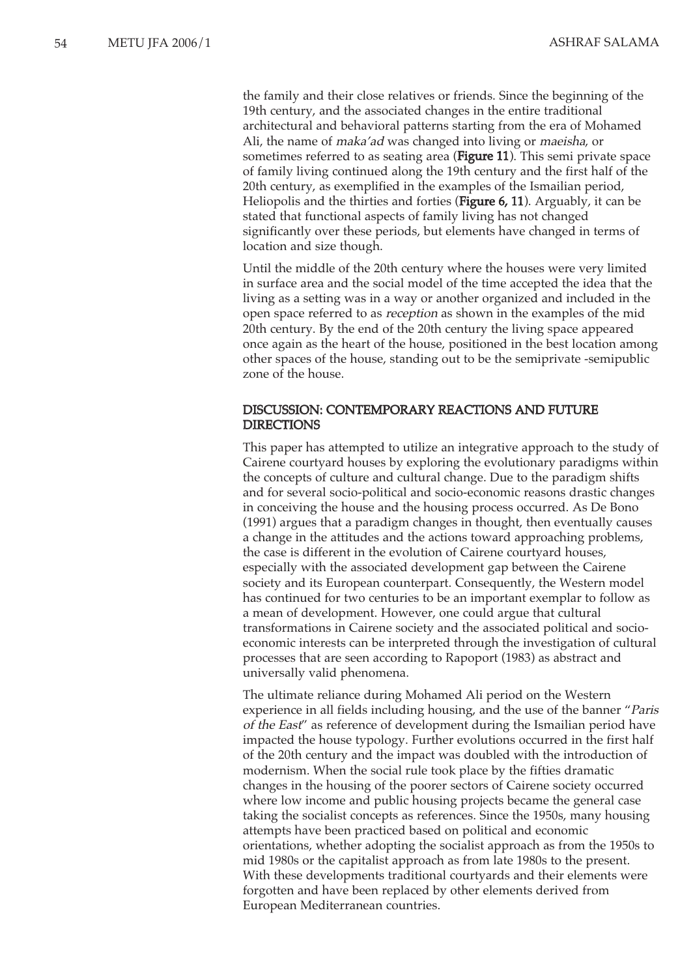the family and their close relatives or friends. Since the beginning of the 19th century, and the associated changes in the entire traditional architectural and behavioral patterns starting from the era of Mohamed Ali, the name of maka'ad was changed into living or maeisha, or sometimes referred to as seating area (Figure 11). This semi private space of family living continued along the 19th century and the first half of the 20th century, as exemplified in the examples of the Ismailian period, Heliopolis and the thirties and forties (Figure 6, 11). Arguably, it can be stated that functional aspects of family living has not changed significantly over these periods, but elements have changed in terms of location and size though.

Until the middle of the 20th century where the houses were very limited in surface area and the social model of the time accepted the idea that the living as a setting was in a way or another organized and included in the open space referred to as reception as shown in the examples of the mid 20th century. By the end of the 20th century the living space appeared once again as the heart of the house, positioned in the best location among other spaces of the house, standing out to be the semiprivate -semipublic zone of the house.

#### DISCUSSION: CONTEMPORARY REACTIONS AND FUTURE DIRECTIONS

This paper has attempted to utilize an integrative approach to the study of Cairene courtyard houses by exploring the evolutionary paradigms within the concepts of culture and cultural change. Due to the paradigm shifts and for several socio-political and socio-economic reasons drastic changes in conceiving the house and the housing process occurred. As De Bono (1991) argues that a paradigm changes in thought, then eventually causes a change in the attitudes and the actions toward approaching problems, the case is different in the evolution of Cairene courtyard houses, especially with the associated development gap between the Cairene society and its European counterpart. Consequently, the Western model has continued for two centuries to be an important exemplar to follow as a mean of development. However, one could argue that cultural transformations in Cairene society and the associated political and socioeconomic interests can be interpreted through the investigation of cultural processes that are seen according to Rapoport (1983) as abstract and universally valid phenomena.

The ultimate reliance during Mohamed Ali period on the Western experience in all fields including housing, and the use of the banner "Paris of the East" as reference of development during the Ismailian period have impacted the house typology. Further evolutions occurred in the first half of the 20th century and the impact was doubled with the introduction of modernism. When the social rule took place by the fifties dramatic changes in the housing of the poorer sectors of Cairene society occurred where low income and public housing projects became the general case taking the socialist concepts as references. Since the 1950s, many housing attempts have been practiced based on political and economic orientations, whether adopting the socialist approach as from the 1950s to mid 1980s or the capitalist approach as from late 1980s to the present. With these developments traditional courtyards and their elements were forgotten and have been replaced by other elements derived from European Mediterranean countries.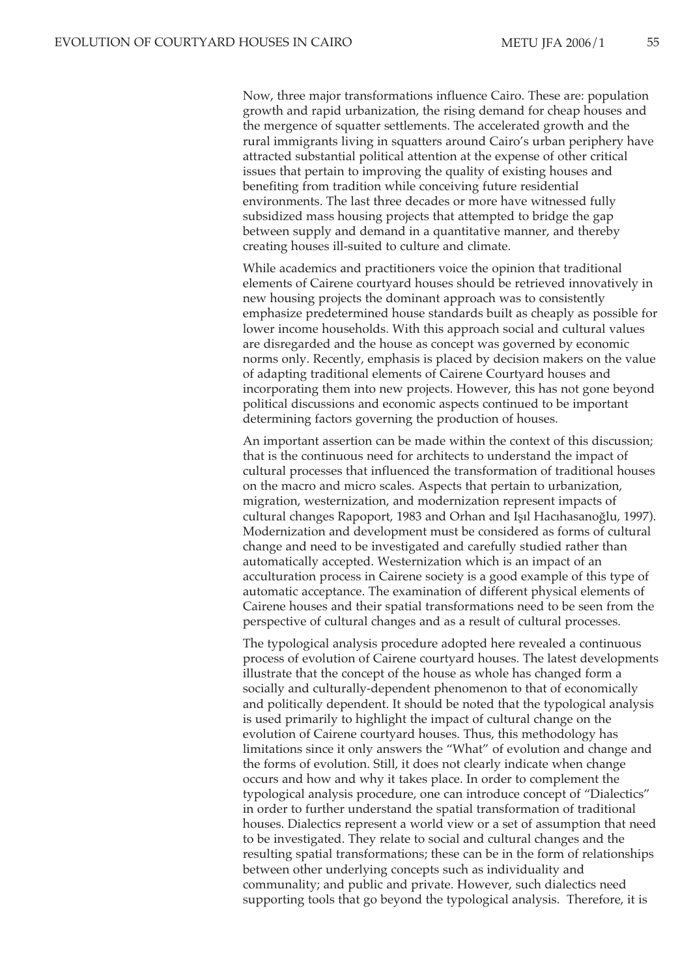Now, three major transformations influence Cairo. These are: population growth and rapid urbanization, the rising demand for cheap houses and the mergence of squatter settlements. The accelerated growth and the rural immigrants living in squatters around Cairo's urban periphery have attracted substantial political attention at the expense of other critical issues that pertain to improving the quality of existing houses and benefiting from tradition while conceiving future residential environments. The last three decades or more have witnessed fully subsidized mass housing projects that attempted to bridge the gap between supply and demand in a quantitative manner, and thereby creating houses ill-suited to culture and climate.

While academics and practitioners voice the opinion that traditional elements of Cairene courtyard houses should be retrieved innovatively in new housing projects the dominant approach was to consistently emphasize predetermined house standards built as cheaply as possible for lower income households. With this approach social and cultural values are disregarded and the house as concept was governed by economic norms only. Recently, emphasis is placed by decision makers on the value of adapting traditional elements of Cairene Courtyard houses and incorporating them into new projects. However, this has not gone beyond political discussions and economic aspects continued to be important determining factors governing the production of houses.

An important assertion can be made within the context of this discussion; that is the continuous need for architects to understand the impact of cultural processes that influenced the transformation of traditional houses on the macro and micro scales. Aspects that pertain to urbanization, migration, westernization, and modernization represent impacts of cultural changes Rapoport, 1983 and Orhan and Isil Hacihasanoğlu, 1997). Modernization and development must be considered as forms of cultural change and need to be investigated and carefully studied rather than automatically accepted. Westernization which is an impact of an acculturation process in Cairene society is a good example of this type of automatic acceptance. The examination of different physical elements of Cairene houses and their spatial transformations need to be seen from the perspective of cultural changes and as a result of cultural processes.

The typological analysis procedure adopted here revealed a continuous process of evolution of Cairene courtyard houses. The latest developments illustrate that the concept of the house as whole has changed form a socially and culturally-dependent phenomenon to that of economically and politically dependent. It should be noted that the typological analysis is used primarily to highlight the impact of cultural change on the evolution of Cairene courtyard houses. Thus, this methodology has limitations since it only answers the "What" of evolution and change and the forms of evolution. Still, it does not clearly indicate when change occurs and how and why it takes place. In order to complement the typological analysis procedure, one can introduce concept of "Dialectics" in order to further understand the spatial transformation of traditional houses. Dialectics represent a world view or a set of assumption that need to be investigated. They relate to social and cultural changes and the resulting spatial transformations; these can be in the form of relationships between other underlying concepts such as individuality and communality; and public and private. However, such dialectics need supporting tools that go beyond the typological analysis. Therefore, it is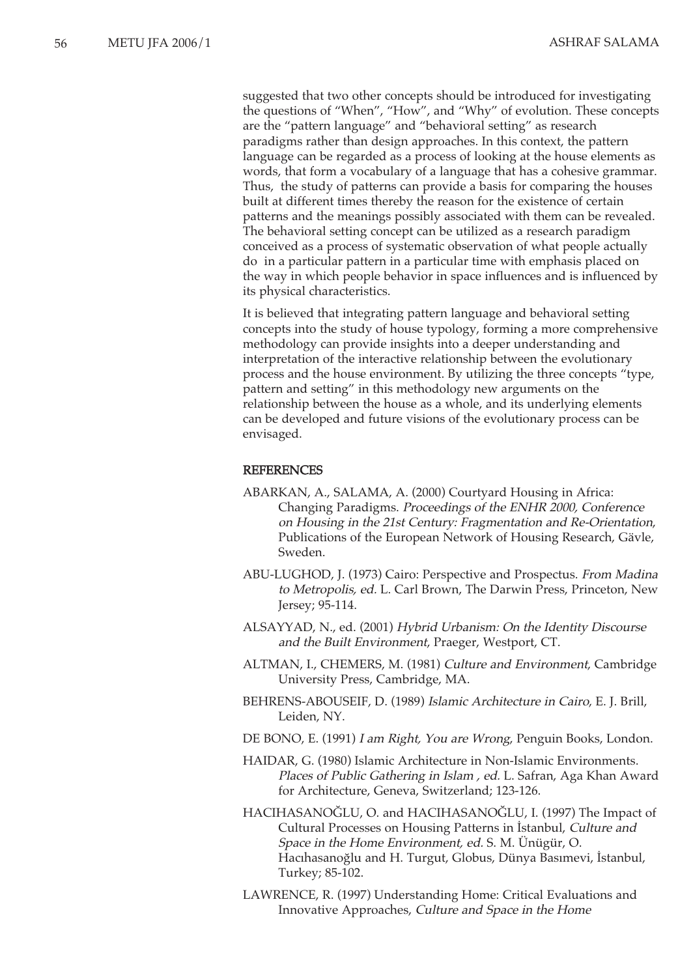suggested that two other concepts should be introduced for investigating the questions of "When", "How", and "Why" of evolution. These concepts are the "pattern language" and "behavioral setting" as research paradigms rather than design approaches. In this context, the pattern language can be regarded as a process of looking at the house elements as words, that form a vocabulary of a language that has a cohesive grammar. Thus, the study of patterns can provide a basis for comparing the houses built at different times thereby the reason for the existence of certain patterns and the meanings possibly associated with them can be revealed. The behavioral setting concept can be utilized as a research paradigm conceived as a process of systematic observation of what people actually do in a particular pattern in a particular time with emphasis placed on the way in which people behavior in space influences and is influenced by its physical characteristics.

It is believed that integrating pattern language and behavioral setting concepts into the study of house typology, forming a more comprehensive methodology can provide insights into a deeper understanding and interpretation of the interactive relationship between the evolutionary process and the house environment. By utilizing the three concepts "type, pattern and setting" in this methodology new arguments on the relationship between the house as a whole, and its underlying elements can be developed and future visions of the evolutionary process can be envisaged.

#### REFERENCES

- ABARKAN, A., SALAMA, A. (2000) Courtyard Housing in Africa: Changing Paradigms. Proceedings of the ENHR 2000, Conference on Housing in the 21st Century: Fragmentation and Re-Orientation, Publications of the European Network of Housing Research, Gävle, Sweden.
- ABU-LUGHOD, J. (1973) Cairo: Perspective and Prospectus. From Madina to Metropolis, ed. L. Carl Brown, The Darwin Press, Princeton, New Jersey; 95-114.
- ALSAYYAD, N., ed. (2001) Hybrid Urbanism: On the Identity Discourse and the Built Environment, Praeger, Westport, CT.
- ALTMAN, I., CHEMERS, M. (1981) Culture and Environment, Cambridge University Press, Cambridge, MA.
- BEHRENS-ABOUSEIF, D. (1989) Islamic Architecture in Cairo, E. J. Brill, Leiden, NY.
- DE BONO, E. (1991) I am Right, You are Wrong, Penguin Books, London.
- HAIDAR, G. (1980) Islamic Architecture in Non-Islamic Environments. Places of Public Gathering in Islam , ed. L. Safran, Aga Khan Award for Architecture, Geneva, Switzerland; 123-126.
- HACIHASANOĞLU, O. and HACIHASANOĞLU, I. (1997) The Impact of Cultural Processes on Housing Patterns in Istanbul, Culture and Space in the Home Environment, ed. S. M. Ünügür, O. Hacihasanoğlu and H. Turgut, Globus, Dünya Basimevi, Istanbul, Turkey; 85-102.
- LAWRENCE, R. (1997) Understanding Home: Critical Evaluations and Innovative Approaches, Culture and Space in the Home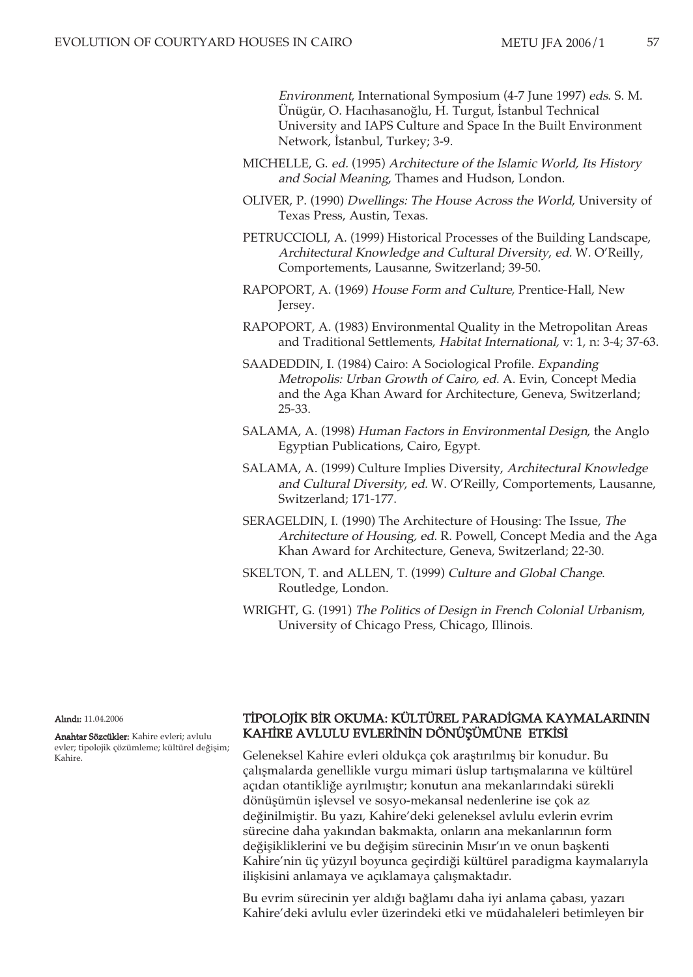Environment, International Symposium (4-7 June 1997) eds. S. M. Ünügür, O. Hacıhasanoğlu, H. Turgut, İstanbul Technical University and IAPS Culture and Space In the Built Environment Network, İstanbul, Turkey; 3-9.

- MICHELLE, G. ed. (1995) Architecture of the Islamic World, Its History and Social Meaning, Thames and Hudson, London.
- OLIVER, P. (1990) Dwellings: The House Across the World, University of Texas Press, Austin, Texas.
- PETRUCCIOLI, A. (1999) Historical Processes of the Building Landscape, Architectural Knowledge and Cultural Diversity, ed. W. O'Reilly, Comportements, Lausanne, Switzerland; 39-50.
- RAPOPORT, A. (1969) House Form and Culture, Prentice-Hall, New Jersey.
- RAPOPORT, A. (1983) Environmental Quality in the Metropolitan Areas and Traditional Settlements, Habitat International, v: 1, n: 3-4; 37-63.
- SAADEDDIN, I. (1984) Cairo: A Sociological Profile. Expanding Metropolis: Urban Growth of Cairo, ed. A. Evin, Concept Media and the Aga Khan Award for Architecture, Geneva, Switzerland; 25-33.
- SALAMA, A. (1998) Human Factors in Environmental Design, the Anglo Egyptian Publications, Cairo, Egypt.
- SALAMA, A. (1999) Culture Implies Diversity, Architectural Knowledge and Cultural Diversity, ed. W. O'Reilly, Comportements, Lausanne, Switzerland; 171-177.
- SERAGELDIN, I. (1990) The Architecture of Housing: The Issue, The Architecture of Housing, ed. R. Powell, Concept Media and the Aga Khan Award for Architecture, Geneva, Switzerland; 22-30.
- SKELTON, T. and ALLEN, T. (1999) Culture and Global Change. Routledge, London.
- WRIGHT, G. (1991) The Politics of Design in French Colonial Urbanism, University of Chicago Press, Chicago, Illinois.

Alındı: 11.04.2006

Anahtar Sözcükler: Kahire evleri; avlulu evler; tipolojik çözümleme; kültürel değişim; Kahire.

#### TİPOLOJİK BİR OKUMA: KÜLTÜREL PARADİGMA KAYMALARININ KAHİRE AVLULU EVLERİNİN DÖNÜŞÜMÜNE ETKİSİ

Geleneksel Kahire evleri oldukça çok araştırılmış bir konudur. Bu çalışmalarda genellikle vurgu mimari üslup tartışmalarına ve kültürel açıdan otantikliğe ayrılmıştır; konutun ana mekanlarındaki sürekli dönüşümün işlevsel ve sosyo-mekansal nedenlerine ise çok az değinilmiştir. Bu yazı, Kahire'deki geleneksel avlulu evlerin evrim sürecine daha yakından bakmakta, onların ana mekanlarının form değişikliklerini ve bu değişim sürecinin Mısır'ın ve onun başkenti Kahire'nin üç yüzyıl boyunca geçirdiği kültürel paradigma kaymalarıyla ilişkisini anlamaya ve açıklamaya çalışmaktadır.

Bu evrim sürecinin yer aldığı bağlamı daha iyi anlama çabası, yazarı Kahire'deki avlulu evler üzerindeki etki ve müdahaleleri betimleyen bir